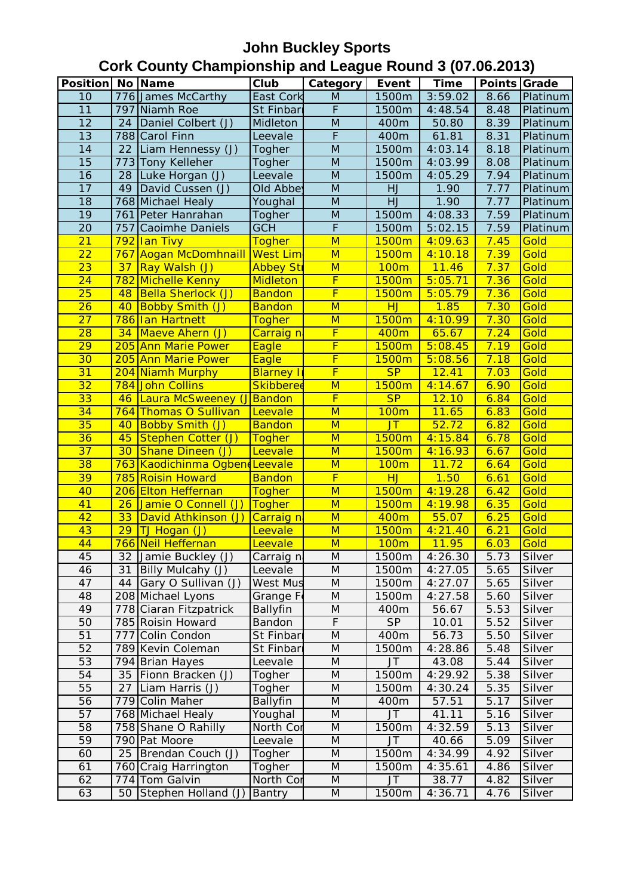| <b>Position   No   Name</b> |                 |                                   | Club               | <b>Category</b>         | Event             | <b>Time</b>    | Points Grade |                  |
|-----------------------------|-----------------|-----------------------------------|--------------------|-------------------------|-------------------|----------------|--------------|------------------|
| 10                          |                 | 776 James McCarthy                | East Cork          | M                       | 1500m             | 3:59.02        | 8.66         | Platinum         |
| 11                          |                 | 797 Niamh Roe                     | St Finbar          | $\overline{F}$          | 1500m             | 4:48.54        | 8.48         | Platinum         |
| 12                          | 24              | Daniel Colbert (J)                | Midleton           | $\overline{M}$          | 400m              | 50.80          | 8.39         | Platinum         |
| 13                          |                 | 788 Carol Finn                    | Leevale            | $\overline{F}$          | 400m              | 61.81          | 8.31         | Platinum         |
| 14                          | 22              | Liam Hennessy (J)                 | Togher             | $\overline{M}$          | 1500m             | 4:03.14        | 8.18         | Platinum         |
| 15                          |                 | 773 Tony Kelleher                 | Togher             | M                       | 1500m             | 4:03.99        | 8.08         | Platinum         |
| $\overline{16}$             | 28              | Luke Horgan (J)                   | Leevale            | $\overline{M}$          | 1500m             | 4:05.29        | 7.94         | Platinum         |
| 17                          | 49              | David Cussen (J)                  | Old Abber          | ${\sf M}$               | HJ                | 1.90           | 7.77         | Platinum         |
| $\overline{18}$             |                 | 768 Michael Healy                 | Youghal            | M                       | HJ                | 1.90           | 7.77         | Platinum         |
| $\overline{19}$             |                 | 761 Peter Hanrahan                | Togher             | M                       | 1500m             | 4:08.33        | 7.59         | Platinum         |
| $\overline{20}$             | 757             | Caoimhe Daniels                   | <b>GCH</b>         | $\overline{\mathsf{F}}$ | 1500m             | 5:02.15        | 7.59         | Platinum         |
| 21                          |                 | 792 Ian Tivy                      | <b>Togher</b>      | M                       | 1500m             | 4:09.63        | 7.45         | Gold             |
| $\overline{22}$             | 767             | Aogan McDomhnaill West Lim        |                    | $\overline{\mathsf{M}}$ | 1500 <sub>m</sub> | 4:10.18        | 7.39         | Gold             |
| $\overline{23}$             | 37              | Ray Walsh (J)                     | <b>Abbey Str</b>   | M                       | <b>100m</b>       | 11.46          | 7.37         | Gold             |
| 24                          |                 | 782 Michelle Kenny                | Midleton           | $\overline{\mathsf{F}}$ | 1500m             | 5:05.71        | 7.36         | Gold             |
| 25                          | 48              | <b>Bella Sherlock (J)</b>         | <b>Bandon</b>      | $\overline{\mathsf{F}}$ | 1500m             | 5:05.79        | 7.36         | Gold             |
| $\overline{26}$             | 40              | <b>Bobby Smith (J)</b>            | <b>Bandon</b>      | $\overline{\mathsf{M}}$ | HJ                | 1.85           | 7.30         | Gold             |
| $\overline{27}$             |                 | 786 Ian Hartnett                  | <b>Togher</b>      | M                       | 1500m             | 4:10.99        | 7.30         | Gold             |
| 28                          |                 | 34 Maeve Ahern (J)                | Carraig n          | F                       | 400m              | 65.67          | 7.24         | Gold             |
| $\overline{29}$             |                 | 205 Ann Marie Power               | Eagle              | F                       | 1500m             | 5:08.45        | 7.19         | Gold             |
| $\overline{30}$             |                 | 205 Ann Marie Power               | Eagle              | F                       | 1500m             | 5:08.56        | 7.18         | Gold             |
| 31                          |                 | 204 Niamh Murphy                  | <b>Blarney I</b>   | $\overline{\mathsf{F}}$ | SP                | 12.41          | 7.03         | Gold             |
| $\overline{32}$             |                 | 784 John Collins                  | <b>Skibberee</b>   | M                       | 1500m             | 4:14.67        | 6.90         | Gold             |
| 33                          |                 | 46 Laura McSweeney (J Bandon      |                    | $\overline{\mathsf{F}}$ | SP                | 12.10          | 6.84         | Gold             |
| $\overline{34}$             |                 | 764 Thomas O Sullivan             | Leevale            | $\overline{\mathsf{M}}$ | 100m              | 11.65          | 6.83         | Gold             |
| 35                          | 40              | <b>Bobby Smith (J)</b>            | <b>Bandon</b>      | M                       | <b>JT</b>         | 52.72          | 6.82         | Gold             |
| 36                          | 45              | Stephen Cotter (J)                | Togher             | M                       | 1500m             | 4:15.84        | 6.78         | Gold             |
| $\overline{37}$             | 30              | Shane Dineen (J)                  | Leevale            | M                       | 1500m             | 4:16.93        | 6.67         | Gold             |
| 38                          |                 | 763 Kaodichinma Ogben Leevale     |                    | M                       | 100m              | 11.72          | 6.64         | Gold             |
| 39                          |                 | 785 Roisin Howard                 | <b>Bandon</b>      | $\overline{\mathsf{F}}$ | HJ                | 1.50           | 6.61         | Gold             |
| 40                          |                 | 206 Elton Heffernan               | <b>Togher</b>      | M                       | 1500m             | 4:19.28        | 6.42         | Gold             |
| 41                          | 26              | Jamie O Connell (J)               | Togher             | M                       | 1500m             | 4:19.98        | 6.35         | Gold             |
| 42                          | 33              | David Athkinson (J)               | Carraig n          | M                       | 400m              | 55.07          | 6.25         | Gold             |
| 43                          | $\overline{29}$ | TJ Hogan (J)                      | Leevale            | M                       | 1500m             | 4:21.40        | 6.21         | Gold             |
| 44                          |                 | 766 Neil Heffernan                | Leevale            | M                       | 100 <sub>m</sub>  | 11.95          | 6.03         | Gold             |
| 45                          | 32              | Jamie Buckley (J)                 | Carraig n          | M                       | 1500m             | 4:26.30        | 5.73         | Silver           |
| 46                          | 31              | Billy Mulcahy (J)                 | Leevale            | M                       | 1500m             | 4:27.05        | 5.65         | Silver           |
| 47                          | 44              | Gary O Sullivan (J)               | <b>West Mus</b>    | M                       | 1500m             | 4:27.07        | 5.65         | Silver           |
| 48                          |                 | 208 Michael Lyons                 | Grange F           | M                       | 1500m             | 4:27.58        | 5.60         | Silver           |
| 49<br>50                    |                 | 778 Ciaran Fitzpatrick            | Ballyfin<br>Bandon | M<br>F                  | 400m<br><b>SP</b> | 56.67          | 5.53         | Silver<br>Silver |
| 51                          | 777             | 785 Roisin Howard<br>Colin Condon | St Finbarı         | M                       | 400m              | 10.01<br>56.73 | 5.52<br>5.50 | Silver           |
| 52                          |                 | 789 Kevin Coleman                 | St Finbar          | M                       | 1500m             | 4:28.86        | 5.48         | Silver           |
| 53                          |                 | 794 Brian Hayes                   | Leevale            | M                       | <b>JT</b>         | 43.08          | 5.44         | Silver           |
| 54                          | 35              | Fionn Bracken (J)                 | Togher             | M                       | 1500m             | 4:29.92        | 5.38         | Silver           |
| $\overline{55}$             | 27              | Liam Harris (J)                   | Togher             | M                       | 1500m             | 4:30.24        | 5.35         | Silver           |
| 56                          |                 | 779 Colin Maher                   | <b>Ballyfin</b>    | M                       | 400m              | 57.51          | 5.17         | Silver           |
| 57                          |                 | 768 Michael Healy                 | Youghal            | M                       | JT                | 41.11          | 5.16         | Silver           |
| 58                          |                 | 758 Shane O Rahilly               | North Cor          | M                       | 1500m             | 4:32.59        | 5.13         | Silver           |
| 59                          |                 | 790 Pat Moore                     | Leevale            | M                       | JT                | 40.66          | 5.09         | Silver           |
| 60                          | 25              | Brendan Couch (J)                 | Togher             | M                       | 1500m             | 4:34.99        | 4.92         | Silver           |
| 61                          |                 | 760 Craig Harrington              | Togher             | M                       | 1500m             | 4:35.61        | 4.86         | Silver           |
| 62                          |                 | 774 Tom Galvin                    | North Cor          | M                       | <b>JT</b>         | 38.77          | 4.82         | Silver           |
| 63                          | 50              | Stephen Holland (J)               | Bantry             | M                       | 1500m             | 4:36.71        | 4.76         | Silver           |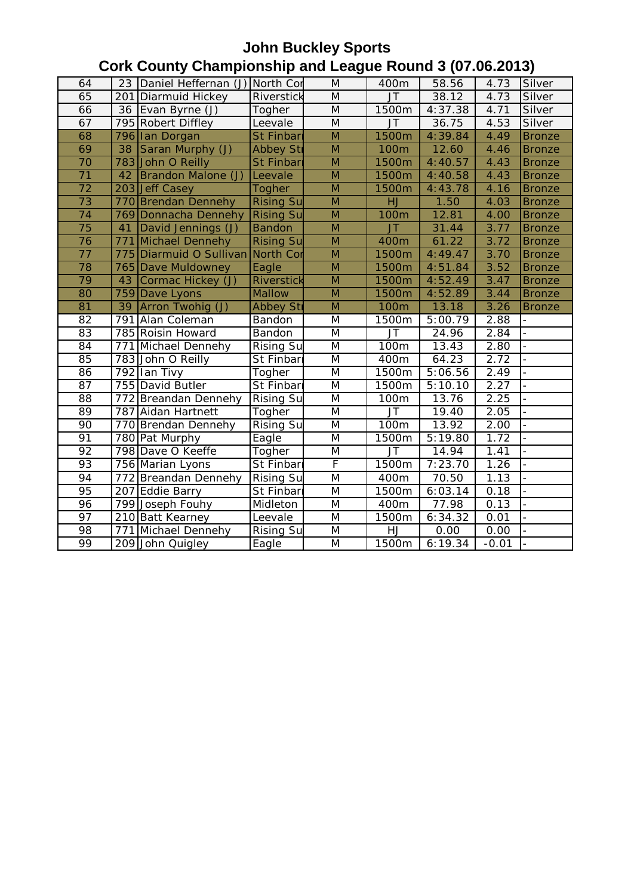| 64              |    | 23 Daniel Heffernan (J) North Cor |                   | M                       | 400m           | .<br>58.56             | 4.73              | Silver                   |
|-----------------|----|-----------------------------------|-------------------|-------------------------|----------------|------------------------|-------------------|--------------------------|
| 65              |    | 201 Diarmuid Hickey               | Riverstick        | M                       | $J$ T          | 38.12                  | 4.73              | Silver                   |
| 66              |    | 36 Evan Byrne (J)                 | Togher            | M                       | 1500m          | 4:37.38                | 4.71              | Silver                   |
| 67              |    | 795 Robert Diffley                | Leevale           | $\overline{M}$          | <b>JT</b>      | 36.75                  | 4.53              | Silver                   |
| 68              |    | 796 Ian Dorgan                    | St Finbar         | ${\sf M}$               | 1500m          | 4:39.84                | 4.49              | <b>Bronze</b>            |
| 69              |    | 38 Saran Murphy (J)               | <b>Abbey Str</b>  | M                       | 100m           | 12.60                  | 4.46              | <b>Bronze</b>            |
| 70              |    | 783 John O Reilly                 | <b>St Finbari</b> | M                       | 1500m          | 4:40.57                | 4.43              | <b>Bronze</b>            |
| $\overline{71}$ |    | 42   Brandon Malone (J)           | Leevale           | $\overline{\mathsf{M}}$ | 1500m          | 4:40.58                | 4.43              | <b>Bronze</b>            |
| $\overline{72}$ |    | 203 Jeff Casey                    | Togher            | $\overline{M}$          | 1500m          | 4:43.78                | 4.16              | <b>Bronze</b>            |
| $\overline{73}$ |    | 770 Brendan Dennehy               | <b>Rising Su</b>  | $\overline{M}$          | HJ             | 1.50                   | 4.03              | <b>Bronze</b>            |
| $\overline{74}$ |    | 769 Donnacha Dennehy              | <b>Rising Su</b>  | $\overline{M}$          | 100m           | 12.81                  | 4.00              | <b>Bronze</b>            |
| $\overline{75}$ | 41 | David Jennings (J)                | <b>Bandon</b>     | $\overline{M}$          | JT             | 31.44                  | 3.77              | <b>Bronze</b>            |
| 76              |    | 771 Michael Dennehy               | <b>Rising Su</b>  | M                       | 400m           | 61.22                  | 3.72              | <b>Bronze</b>            |
| $\overline{77}$ |    | 775 Diarmuid O Sullivan North Cor |                   | $\overline{M}$          | 1500m          | 4:49.47                | 3.70              | <b>Bronze</b>            |
| 78              |    | <b>765 Dave Muldowney</b>         | Eagle             | $\overline{M}$          | 1500m          | 4:51.84                | 3.52              | <b>Bronze</b>            |
| 79              | 43 | Cormac Hickey (J)                 | Riverstick        | ${\sf M}$               | 1500m          | 4:52.49                | 3.47              | <b>Bronze</b>            |
| 80              |    | 759 Dave Lyons                    | Mallow            | M                       | 1500m          | 4:52.89                | 3.44              | <b>Bronze</b>            |
| 81              |    | 39 Arron Twohig (J)               | <b>Abbey Str</b>  | M                       | <b>100m</b>    | 13.18                  | 3.26              | <b>Bronze</b>            |
| 82              |    | 791 Alan Coleman                  | Bandon            | M                       | 1500m          | $\overline{5}$ :00.79  | $2.\overline{88}$ | $\overline{\phantom{a}}$ |
| 83              |    | 785 Roisin Howard                 | Bandon            | M                       | <b>JT</b>      | 24.96                  | 2.84              | $\overline{a}$           |
| 84              |    | 771 Michael Dennehy               | <b>Rising Su</b>  | M                       | 100m           | 13.43                  | 2.80              | $\bar{\phantom{a}}$      |
| 85              |    | 783 John O Reilly                 | St Finbari        | M                       | 400m           | 64.23                  | 2.72              | $\overline{a}$           |
| 86              |    | 792 Ian Tivy                      | Togher            | M                       | 1500m          | $\overline{5:}06.56$   | 2.49              |                          |
| 87              |    | 755 David Butler                  | St Finbari        | M                       | 1500m          | $\overline{5}$ : 10.10 | 2.27              |                          |
| 88              |    | 772 Breandan Dennehy              | <b>Rising Su</b>  | M                       | 100m           | 13.76                  | 2.25              | $\overline{a}$           |
| 89              |    | 787 Aidan Hartnett                | Togher            | M                       | JT             | $\overline{19.40}$     | 2.05              |                          |
| 90              |    | 770 Brendan Dennehy               | <b>Rising Su</b>  | M                       | 100m           | 13.92                  | 2.00              |                          |
| $\overline{91}$ |    | 780 Pat Murphy                    | Eagle             | M                       | 1500m          | 5:19.80                | 1.72              | $\frac{1}{2}$            |
| $\overline{92}$ |    | 798 Dave O Keeffe                 | Togher            | M                       | $\overline{J}$ | 14.94                  | 1.41              |                          |
| 93              |    | 756 Marian Lyons                  | St Finbari        | $\overline{\mathsf{F}}$ | 1500m          | 7:23.70                | 1.26              |                          |
| 94              |    | 772 Breandan Dennehy              | <b>Rising Su</b>  | $\overline{\mathsf{M}}$ | 400m           | 70.50                  | 1.13              |                          |
| 95              |    | 207 Eddie Barry                   | St Finbarı        | M                       | 1500m          | 6:03.14                | 0.18              |                          |
| 96              |    | 799 Joseph Fouhy                  | Midleton          | M                       | 400m           | 77.98                  | 0.13              |                          |
| $\overline{97}$ |    | 210 Batt Kearney                  | Leevale           | M                       | 1500m          | 6:34.32                | 0.01              |                          |
| 98              |    | 771 Michael Dennehy               | <b>Rising Su</b>  | M                       | HJ             | 0.00                   | 0.00              |                          |
| 99              |    | 209 John Quigley                  | Eagle             | M                       | 1500m          | 6:19.34                | $-0.01$           |                          |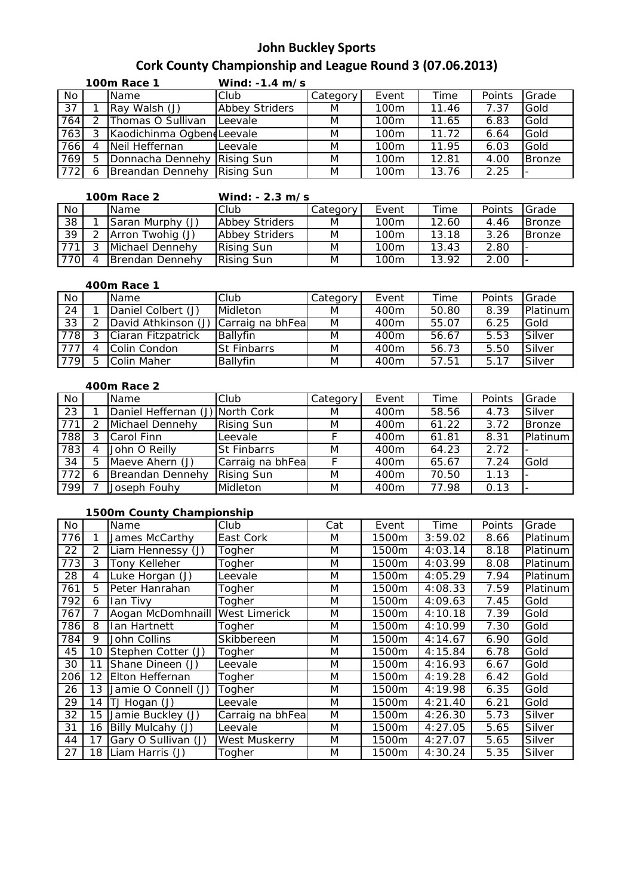## **John Buckley Sports**

# **Cork County Championship and League Round 3 (07.06.2013)**

|                 | <b>100m Race 1</b> |                           | Wind: -1.4 m/s        |          |                  |       |        |               |
|-----------------|--------------------|---------------------------|-----------------------|----------|------------------|-------|--------|---------------|
| No              |                    | Name                      | Club                  | Category | Event            | Time  | Points | Grade         |
| $\overline{37}$ |                    | Ray Walsh (J)             | <b>Abbey Striders</b> | M        | 100 <sub>m</sub> | 11.46 | 7.37   | Gold          |
| 764             |                    | Thomas O Sullivan         | Leevale               | M        | 100 <sub>m</sub> | 11.65 | 6.83   | Gold          |
| 763             |                    | Kaodichinma OgbendLeevale |                       | M        | 100 <sub>m</sub> | 11.72 | 6.64   | Gold          |
| 766             | 4                  | Neil Heffernan            | Leevale               | M        | 100 <sub>m</sub> | 11.95 | 6.03   | Gold          |
| 769             | 5                  | Donnacha Dennehy          | <b>Rising Sun</b>     | M        | 100 <sub>m</sub> | 12.81 | 4.00   | <b>Bronze</b> |
| 772             | 6                  | Breandan Dennehy          | <b>Rising Sun</b>     | M        | 100 <sub>m</sub> | 13.76 | 2.25   |               |

| <b>100m Race 2</b> |  |                        | Wind: $-2.3$ m/s      |          |                  |       |        |               |  |
|--------------------|--|------------------------|-----------------------|----------|------------------|-------|--------|---------------|--|
| No.                |  | <b>Name</b>            | Club                  | Category | Event            | Time  | Points | Grade         |  |
| $\overline{38}$    |  | Saran Murphy (J)       | <b>Abbey Striders</b> | M        | 100m             | 12.60 | 4.46   | <b>Bronze</b> |  |
| 39                 |  | Arron Twohig (J)       | <b>Abbey Striders</b> | M        | 100 <sub>m</sub> | 13.18 | 3.26   | <b>Bronze</b> |  |
| 771                |  | Michael Dennehy        | <b>Rising Sun</b>     | M        | 100 <sub>m</sub> | 13.43 | 2.80   |               |  |
| 770                |  | <b>Brendan Dennehy</b> | <b>Rising Sun</b>     | M        | 100m             | 13.92 | 2.00   |               |  |

### **400m Race 1**

| No              | <b>Name</b>         | Club               | Category | Event | Time  | Points | Grade    |
|-----------------|---------------------|--------------------|----------|-------|-------|--------|----------|
| $\overline{24}$ | Daniel Colbert (J)  | Midleton           | M        | 400m  | 50.80 | 8.39   | Platinum |
| $\overline{33}$ | David Athkinson (J) | Carraig na bhFea   | M        | 400m  | 55.07 | 6.25   | Gold     |
| 778             | Ciaran Fitzpatrick  | <b>Ballyfin</b>    | M        | 400m  | 56.67 | 5.53   | Silver   |
| 777             | Colin Condon        | <b>St Finbarrs</b> | M        | 400m  | 56.73 | 5.50   | Silver   |
| 779             | Colin Maher         | <b>Ballyfin</b>    | M        | 400m  | 57.51 | 5.17   | Silver   |

#### **400m Race 2**

| No  |   | Name                            | Club               | Category | Event | Time  | Points | Grade         |
|-----|---|---------------------------------|--------------------|----------|-------|-------|--------|---------------|
| 23  |   | Daniel Heffernan (J) North Cork |                    | M        | 400m  | 58.56 | 4.73   | Silver        |
| 771 |   | Michael Dennehy                 | <b>Rising Sun</b>  | M        | 400m  | 61.22 | 3.72   | <b>Bronze</b> |
| 788 | ີ | Carol Finn                      | Leevale            |          | 400m  | 61.81 | 8.31   | Platinum      |
| 783 |   | John O Reilly                   | <b>St Finbarrs</b> | M        | 400m  | 64.23 | 2.72   |               |
| 34  | 5 | Maeve Ahern (J)                 | Carraig na bhFea   |          | 400m  | 65.67 | 7.24   | Gold          |
| 772 |   | Breandan Dennehy                | <b>Rising Sun</b>  | M        | 400m  | 70.50 | 1.13   |               |
| 799 |   | Joseph Fouhy                    | Midleton           | M        | 400m  | 77.98 | 0.13   |               |

### **1500m County Championship**

| No  |    | Name                | Club                 | Cat | Event | Time    | Points | Grade    |
|-----|----|---------------------|----------------------|-----|-------|---------|--------|----------|
| 776 |    | James McCarthy      | East Cork            | M   | 1500m | 3:59.02 | 8.66   | Platinum |
| 22  | 2  | Liam Hennessy (J)   | Togher               | M   | 1500m | 4:03.14 | 8.18   | Platinum |
| 773 | 3  | Tony Kelleher       | Togher               | M   | 1500m | 4:03.99 | 8.08   | Platinum |
| 28  | 4  | Luke Horgan (J)     | Leevale              | M   | 1500m | 4:05.29 | 7.94   | Platinum |
| 761 | 5  | Peter Hanrahan      | Togher               | M   | 1500m | 4:08.33 | 7.59   | Platinum |
| 792 | 6  | Ian Tivy            | Togher               | M   | 1500m | 4:09.63 | 7.45   | Gold     |
| 767 | 7  | Aogan McDomhnaill   | <b>West Limerick</b> | M   | 1500m | 4:10.18 | 7.39   | Gold     |
| 786 | 8  | Ian Hartnett        | Togher               | M   | 1500m | 4:10.99 | 7.30   | Gold     |
| 784 | 9  | John Collins        | Skibbereen           | M   | 1500m | 4:14.67 | 6.90   | Gold     |
| 45  | 10 | Stephen Cotter (J)  | Togher               | M   | 1500m | 4:15.84 | 6.78   | Gold     |
| 30  | 11 | Shane Dineen (J)    | Leevale              | M   | 1500m | 4:16.93 | 6.67   | Gold     |
| 206 | 12 | Elton Heffernan     | Togher               | M   | 1500m | 4:19.28 | 6.42   | Gold     |
| 26  | 13 | Jamie O Connell (J) | Togher               | M   | 1500m | 4:19.98 | 6.35   | Gold     |
| 29  | 14 | TJ Hogan (J)        | Leevale              | M   | 1500m | 4:21.40 | 6.21   | Gold     |
| 32  | 15 | Jamie Buckley (J)   | Carraig na bhFea     | M   | 1500m | 4:26.30 | 5.73   | Silver   |
| 31  | 16 | Billy Mulcahy (J)   | Leevale              | M   | 1500m | 4:27.05 | 5.65   | Silver   |
| 44  | 17 | Gary O Sullivan (J) | West Muskerry        | M   | 1500m | 4:27.07 | 5.65   | Silver   |
| 27  | 18 | Liam Harris (J)     | Togher               | M   | 1500m | 4:30.24 | 5.35   | Silver   |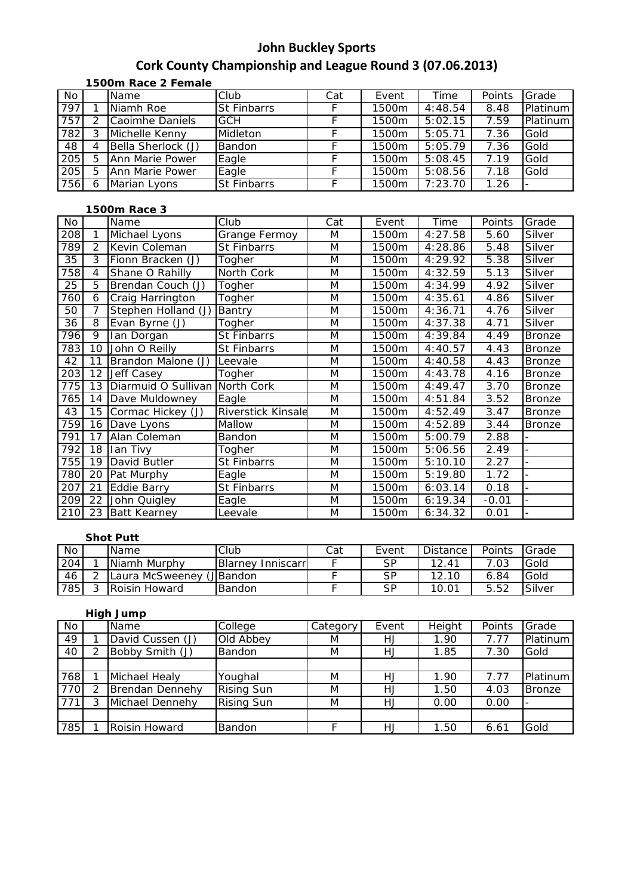# **John Buckley Sports**

## **Cork County Championship and League Round 3 (07.06.2013)**

**1500m Race 2 Female**

| No  |   | Name               | Club               | Cat | Event | Time    | Points | Grade    |
|-----|---|--------------------|--------------------|-----|-------|---------|--------|----------|
| 797 |   | Niamh Roe          | <b>St Finbarrs</b> |     | 1500m | 4:48.54 | 8.48   | Platinum |
| 757 |   | Caoimhe Daniels    | <b>GCH</b>         |     | 1500m | 5:02.15 | 7.59   | Platinum |
| 782 |   | Michelle Kenny     | Midleton           |     | 1500m | 5:05.71 | 7.36   | Gold     |
| 48  |   | Bella Sherlock (J) | Bandon             |     | 1500m | 5:05.79 | 7.36   | Gold     |
| 205 | 5 | Ann Marie Power    | Eagle              |     | 1500m | 5:08.45 | 7.19   | Gold     |
| 205 | 5 | Ann Marie Power    | Eagle              |     | 1500m | 5:08.56 | 7.18   | Gold     |
| 756 | 6 | Marian Lyons       | <b>St Finbarrs</b> |     | 1500m | 7:23.70 | 1.26   |          |

### **1500m Race 3**

| No              |                | Name                | Club                      | Cat | Event | <b>Time</b> | Points  | Grade         |
|-----------------|----------------|---------------------|---------------------------|-----|-------|-------------|---------|---------------|
| 208             | 1              | Michael Lyons       | Grange Fermoy             | M   | 1500m | 4:27.58     | 5.60    | Silver        |
| 789             | $\overline{2}$ | Kevin Coleman       | St Finbarrs               | M   | 1500m | 4:28.86     | 5.48    | Silver        |
| $\overline{35}$ | 3              | Fionn Bracken (J)   | Togher                    | M   | 1500m | 4:29.92     | 5.38    | Silver        |
| 758             | 4              | Shane O Rahilly     | North Cork                | M   | 1500m | 4:32.59     | 5.13    | Silver        |
| 25              | 5              | Brendan Couch (J)   | Togher                    | M   | 1500m | 4:34.99     | 4.92    | Silver        |
| 760             | 6              | Craig Harrington    | Togher                    | M   | 1500m | 4:35.61     | 4.86    | Silver        |
| 50              | 7              | Stephen Holland (J) | Bantry                    | M   | 1500m | 4:36.71     | 4.76    | Silver        |
| 36              | 8              | Evan Byrne (J)      | Togher                    | M   | 1500m | 4:37.38     | 4.71    | Silver        |
| 796             | 9              | lan Dorgan          | St Finbarrs               | M   | 1500m | 4:39.84     | 4.49    | <b>Bronze</b> |
| 783             | 10             | John O Reilly       | St Finbarrs               | M   | 1500m | 4:40.57     | 4.43    | <b>Bronze</b> |
| 42              | 11             | Brandon Malone (J)  | Leevale                   | M   | 1500m | 4:40.58     | 4.43    | <b>Bronze</b> |
| 203             | 12             | Jeff Casey          | Togher                    | M   | 1500m | 4:43.78     | 4.16    | <b>Bronze</b> |
| 775             | 13             | Diarmuid O Sullivan | North Cork                | M   | 1500m | 4:49.47     | 3.70    | <b>Bronze</b> |
| 765             | 14             | Dave Muldowney      | Eagle                     | M   | 1500m | 4:51.84     | 3.52    | <b>Bronze</b> |
| 43              | 15             | Cormac Hickey (J)   | <b>Riverstick Kinsale</b> | M   | 1500m | 4:52.49     | 3.47    | <b>Bronze</b> |
| 759             | 16             | Dave Lyons          | Mallow                    | M   | 1500m | 4:52.89     | 3.44    | <b>Bronze</b> |
| 791             | 17             | Alan Coleman        | Bandon                    | M   | 1500m | 5:00.79     | 2.88    |               |
| 792             | 18             | Ian Tivy            | Togher                    | M   | 1500m | 5:06.56     | 2.49    |               |
| 755             | 19             | David Butler        | St Finbarrs               | M   | 1500m | 5:10.10     | 2.27    |               |
| 780             | 20             | Pat Murphy          | Eagle                     | M   | 1500m | 5:19.80     | 1.72    |               |
| 207             | 21             | Eddie Barry         | <b>St Finbarrs</b>        | M   | 1500m | 6:03.14     | 0.18    |               |
| 209             | 22             | John Quigley        | Eagle                     | M   | 1500m | 6:19.34     | $-0.01$ |               |
| 210             | 23             | <b>Batt Kearney</b> | Leevale                   | M   | 1500m | 6:34.32     | 0.01    |               |

#### **Shot Putt**

| No  |   | Name                      | Club                      | Cat | Event | <b>Distance</b> | Points | Grade  |
|-----|---|---------------------------|---------------------------|-----|-------|-----------------|--------|--------|
| 204 |   | Niamh Murphy              | <b>Blarney Inniscarrl</b> |     | SP    | 12.41           | .03    | Gold   |
| 46  |   | Laura McSweeney (J Bandon |                           |     | SP    | 12.10           | 6.84   | Gold   |
| 785 | ⌒ | Roisin Howard             | <b>Bandon</b>             |     | SP    |                 | 5.52   | Silver |

### **High Jump**

| No               | Name             | College           | Category | Event | Height | Points | Grade         |
|------------------|------------------|-------------------|----------|-------|--------|--------|---------------|
| 49               | David Cussen (J) | Old Abbey         | M        | HJ    | 1.90   | 7.77   | Platinum      |
| 40               | Bobby Smith (J)  | Bandon            | M        | HJ    | 1.85   | 7.30   | Gold          |
|                  |                  |                   |          |       |        |        |               |
| 768              | Michael Healy    | Youghal           | M        | HJ    | 1.90   | 7.77   | Platinum      |
| 770              | Brendan Dennehy  | <b>Rising Sun</b> | M        | HJ    | 1.50   | 4.03   | <b>Bronze</b> |
| $\overline{771}$ | Michael Dennehy  | <b>Rising Sun</b> | M        | HJ    | 0.00   | 0.00   |               |
|                  |                  |                   |          |       |        |        |               |
| 785              | Roisin Howard    | Bandon            |          | HJ    | 1.50   | 6.61   | Gold          |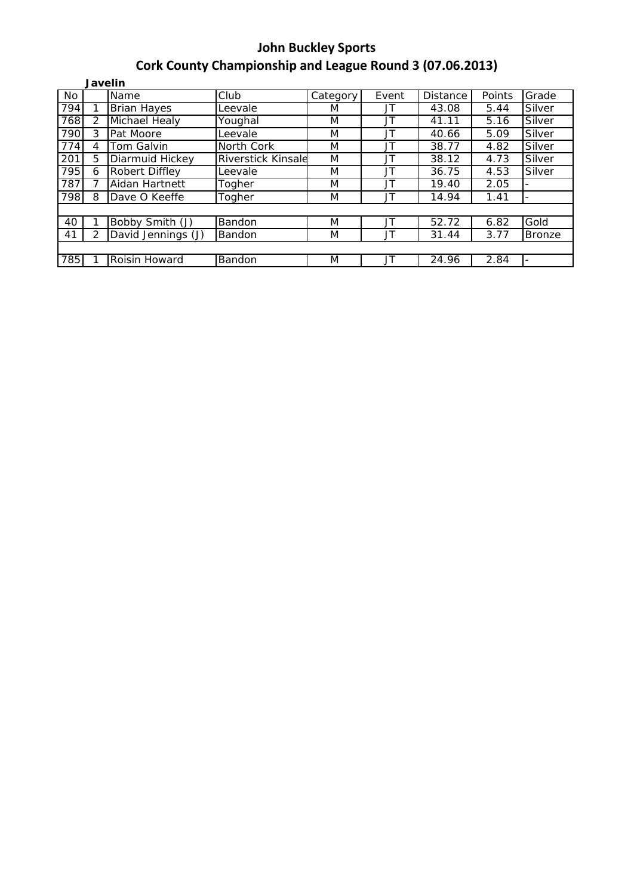|           | <b>Javelin</b> |                    |                           |          |       |          |        |                          |  |  |
|-----------|----------------|--------------------|---------------------------|----------|-------|----------|--------|--------------------------|--|--|
| <b>No</b> |                | Name               | $\overline{C}$ lub        | Category | Event | Distance | Points | Grade                    |  |  |
| 794       |                | <b>Brian Hayes</b> | Leevale                   | M        | JT    | 43.08    | 5.44   | Silver                   |  |  |
| 768       | $\mathcal{P}$  | Michael Healy      | Youghal                   | M        | JT    | 41.11    | 5.16   | Silver                   |  |  |
| 790       | 3              | Pat Moore          | Leevale                   | M        | JT    | 40.66    | 5.09   | Silver                   |  |  |
| 774       | 4              | Tom Galvin         | North Cork                | M        | JT    | 38.77    | 4.82   | Silver                   |  |  |
| 201       | 5              | Diarmuid Hickey    | <b>Riverstick Kinsale</b> | M        | JT    | 38.12    | 4.73   | Silver                   |  |  |
| 795       | 6              | Robert Diffley     | Leevale                   | M        | JT    | 36.75    | 4.53   | Silver                   |  |  |
| 787       |                | Aidan Hartnett     | Togher                    | M        | JT    | 19.40    | 2.05   | $\overline{\phantom{a}}$ |  |  |
| 798       | 8              | Dave O Keeffe      | Togher                    | M        | JT    | 14.94    | 1.41   | $\overline{\phantom{a}}$ |  |  |
|           |                |                    |                           |          |       |          |        |                          |  |  |
| 40        |                | Bobby Smith (J)    | Bandon                    | M        | JT    | 52.72    | 6.82   | Gold                     |  |  |
| 41        |                | David Jennings (J) | Bandon                    | M        | JT    | 31.44    | 3.77   | <b>Bronze</b>            |  |  |
|           |                |                    |                           |          |       |          |        |                          |  |  |
| 785       |                | Roisin Howard      | Bandon                    | M        | JT    | 24.96    | 2.84   | $\overline{\phantom{a}}$ |  |  |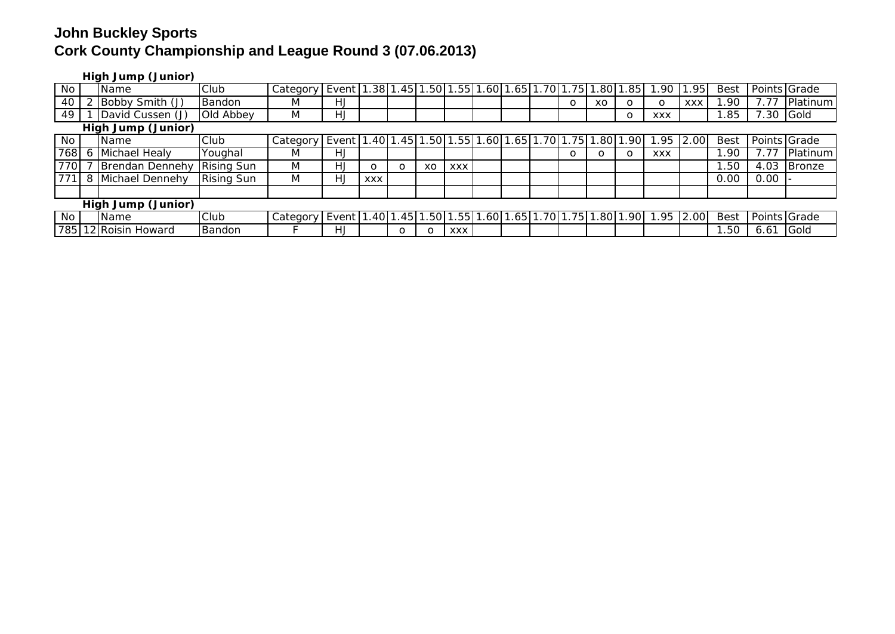**High Jump (Junior)**

| No  |                    | . .<br><b>I</b> Name | Club              | Category | Event 1.38 1.45 1.50 1.55 1.60 1.65 1.70 1.75 1.80                          |            |         |    |            |  |  |  |   |     | .85              | .90        | .951       | Best        |              | Points Grade |
|-----|--------------------|----------------------|-------------------|----------|-----------------------------------------------------------------------------|------------|---------|----|------------|--|--|--|---|-----|------------------|------------|------------|-------------|--------------|--------------|
| 40  |                    | Bobby Smith (J)      | <b>Bandon</b>     | M        | HJ                                                                          |            |         |    |            |  |  |  | O | XO  |                  | O          | <b>XXX</b> | .90         |              | Platinum     |
| 49  |                    | David Cussen (J)     | Old Abbey         | M        | HJ                                                                          |            |         |    |            |  |  |  |   |     | O                | <b>XXX</b> |            | .85         | 7.30 Gold    |              |
|     | High Jump (Junior) |                      |                   |          |                                                                             |            |         |    |            |  |  |  |   |     |                  |            |            |             |              |              |
| No  |                    | Name                 | Club              | Category | Event   1.40   1.45   1.50   1.55   1.60   1.65   1.70   1.75   1.          |            |         |    |            |  |  |  |   | .80 | .90 <sub>l</sub> | .95        | 2.00       | <b>Best</b> |              | Points Grade |
| 768 |                    | Michael Healy        | Youghal           | M        | HJ                                                                          |            |         |    |            |  |  |  | O | O   |                  | <b>XXX</b> |            | .90         | 7.77         | Platinum     |
| 770 |                    | Brendan Dennehy      | <b>Rising Sun</b> | M        | HJ                                                                          | $\circ$    | O       | XO | <b>XXX</b> |  |  |  |   |     |                  |            |            | .50         | 4.03         | Bronze       |
|     |                    | 8 Michael Dennehy    | <b>Rising Sun</b> | M        | HJ                                                                          | <b>XXX</b> |         |    |            |  |  |  |   |     |                  |            |            | 0.00        | 0.00         |              |
|     |                    |                      |                   |          |                                                                             |            |         |    |            |  |  |  |   |     |                  |            |            |             |              |              |
|     | High Jump (Junior) |                      |                   |          |                                                                             |            |         |    |            |  |  |  |   |     |                  |            |            |             |              |              |
| No  |                    | <b>I</b> Name        | Club              | Category | Event   1.40   1.45   1.50   1.55   1.60   1.65   1.70   1.75   1.80   1.90 |            |         |    |            |  |  |  |   |     |                  | 1.95       | 2.00       | <b>Best</b> | Points Grade |              |
| 785 |                    | 12 Roisin Howard     | Bandon            |          | HJ                                                                          |            | $\circ$ |    | <b>XXX</b> |  |  |  |   |     |                  |            |            | .50         | 6.61         | Gold         |